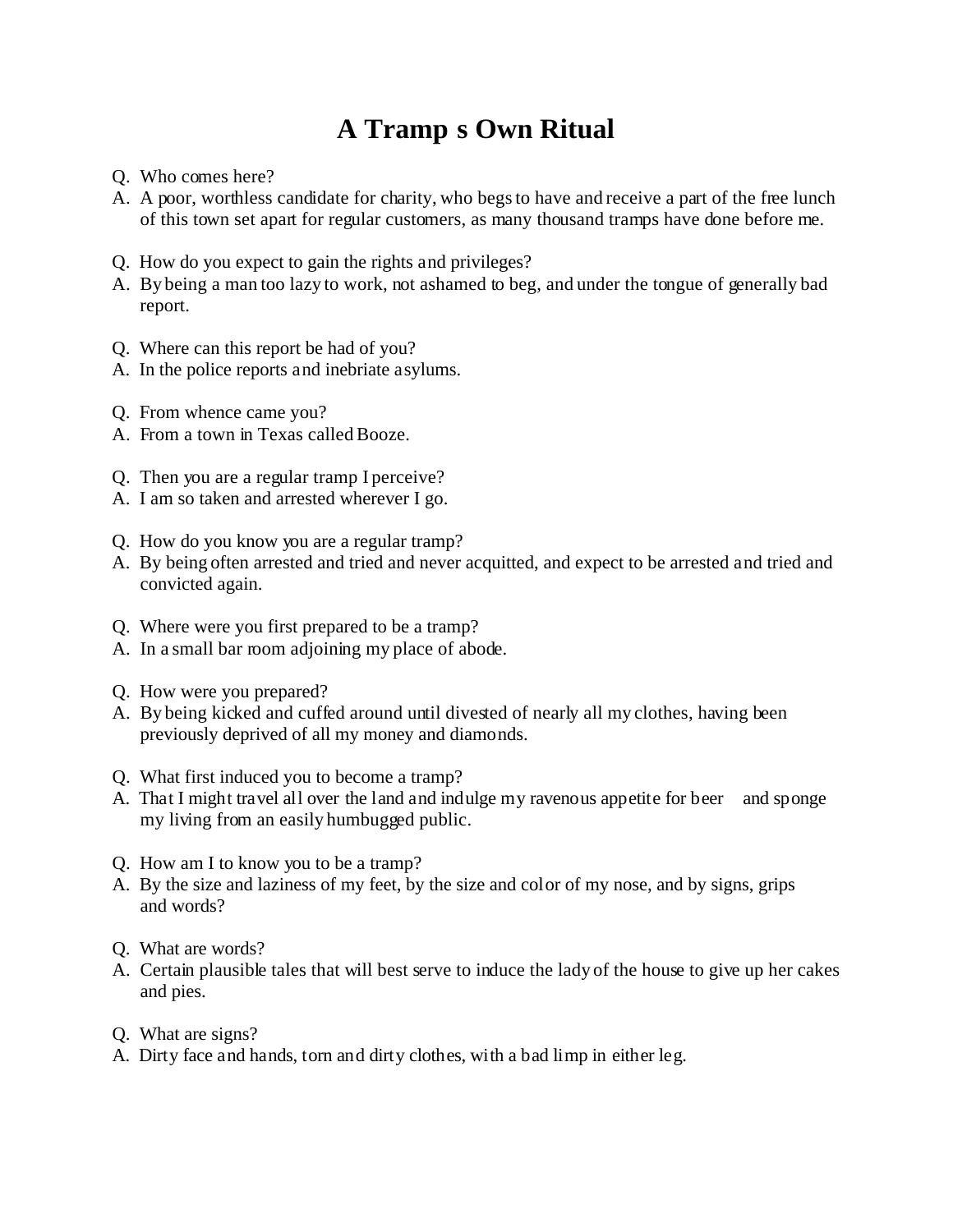## **A Tramp s Own Ritual**

- Q. Who comes here?
- A. A poor, worthless candidate for charity, who begs to have and receive a part of the free lunch of this town set apart for regular customers, as many thousand tramps have done before me.
- Q. How do you expect to gain the rights and privileges?
- A. By being a man too lazy to work, not ashamed to beg, and under the tongue of generally bad report.
- Q. Where can this report be had of you?
- A. In the police reports and inebriate asylums.
- Q. From whence came you?
- A. From a town in Texas called Booze.
- Q. Then you are a regular tramp I perceive?
- A. I am so taken and arrested wherever I go.
- Q. How do you know you are a regular tramp?
- A. By being often arrested and tried and never acquitted, and expect to be arrested and tried and convicted again.
- Q. Where were you first prepared to be a tramp?
- A. In a small bar room adjoining my place of abode.
- Q. How were you prepared?
- A. By being kicked and cuffed around until divested of nearly all my clothes, having been previously deprived of all my money and diamonds.
- Q. What first induced you to become a tramp?
- A. That I might travel all over the land and indulge my ravenous appetite for beer and sponge my living from an easily humbugged public.
- Q. How am I to know you to be a tramp?
- A. By the size and laziness of my feet, by the size and color of my nose, and by signs, grips and words?
- Q. What are words?
- A. Certain plausible tales that will best serve to induce the lady of the house to give up her cakes and pies.
- Q. What are signs?
- A. Dirty face and hands, torn and dirty clothes, with a bad limp in either leg.